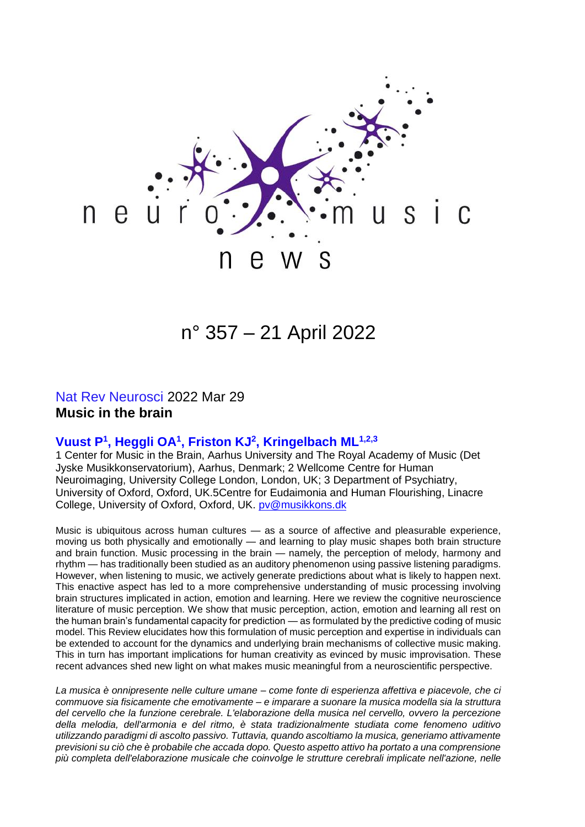

# n° 357 – 21 April 2022

#### Nat Rev Neurosci 2022 Mar 29 **Music in the brain**

#### **Vuust P 1 , Heggli OA<sup>1</sup> , Friston KJ<sup>2</sup> , Kringelbach ML1,2,3**

1 Center for Music in the Brain, Aarhus University and The Royal Academy of Music (Det Jyske Musikkonservatorium), Aarhus, Denmark; 2 Wellcome Centre for Human Neuroimaging, University College London, London, UK; 3 Department of Psychiatry, University of Oxford, Oxford, UK.5Centre for Eudaimonia and Human Flourishing, Linacre College, University of Oxford, Oxford, UK. [pv@musikkons.dk](mailto:pv@musikkons.dk)

Music is ubiquitous across human cultures — as a source of affective and pleasurable experience, moving us both physically and emotionally — and learning to play music shapes both brain structure and brain function. Music processing in the brain — namely, the perception of melody, harmony and rhythm — has traditionally been studied as an auditory phenomenon using passive listening paradigms. However, when listening to music, we actively generate predictions about what is likely to happen next. This enactive aspect has led to a more comprehensive understanding of music processing involving brain structures implicated in action, emotion and learning. Here we review the cognitive neuroscience literature of music perception. We show that music perception, action, emotion and learning all rest on the human brain's fundamental capacity for prediction — as formulated by the predictive coding of music model. This Review elucidates how this formulation of music perception and expertise in individuals can be extended to account for the dynamics and underlying brain mechanisms of collective music making. This in turn has important implications for human creativity as evinced by music improvisation. These recent advances shed new light on what makes music meaningful from a neuroscientific perspective.

*La musica è onnipresente nelle culture umane – come fonte di esperienza affettiva e piacevole, che ci commuove sia fisicamente che emotivamente – e imparare a suonare la musica modella sia la struttura del cervello che la funzione cerebrale. L'elaborazione della musica nel cervello, ovvero la percezione della melodia, dell'armonia e del ritmo, è stata tradizionalmente studiata come fenomeno uditivo utilizzando paradigmi di ascolto passivo. Tuttavia, quando ascoltiamo la musica, generiamo attivamente previsioni su ciò che è probabile che accada dopo. Questo aspetto attivo ha portato a una comprensione più completa dell'elaborazione musicale che coinvolge le strutture cerebrali implicate nell'azione, nelle*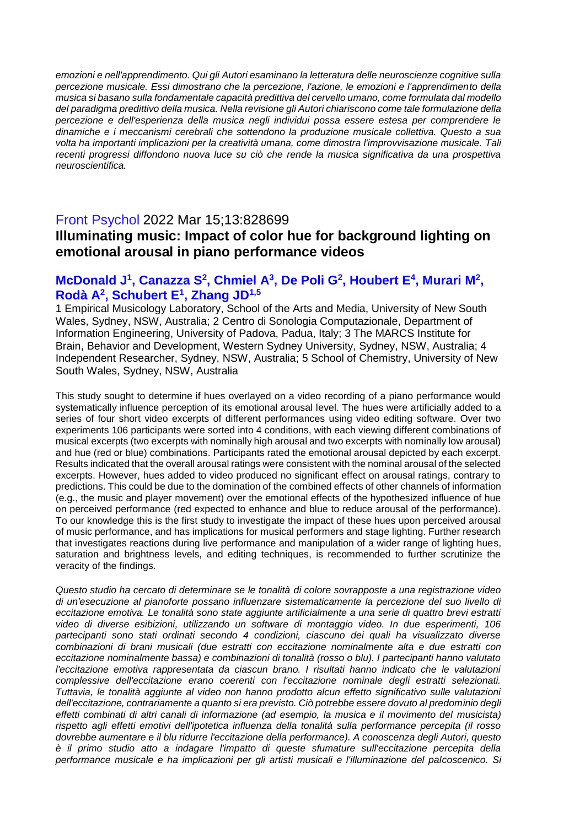*emozioni e nell'apprendimento. Qui gli Autori esaminano la letteratura delle neuroscienze cognitive sulla percezione musicale. Essi dimostrano che la percezione, l'azione, le emozioni e l'apprendimento della musica si basano sulla fondamentale capacità predittiva del cervello umano, come formulata dal modello del paradigma predittivo della musica. Nella revisione gli Autori chiariscono come tale formulazione della percezione e dell'esperienza della musica negli individui possa essere estesa per comprendere le dinamiche e i meccanismi cerebrali che sottendono la produzione musicale collettiva. Questo a sua volta ha importanti implicazioni per la creatività umana, come dimostra l'improvvisazione musicale. Tali recenti progressi diffondono nuova luce su ciò che rende la musica significativa da una prospettiva neuroscientifica.*

# Front Psychol 2022 Mar 15;13:828699 **Illuminating music: Impact of color hue for background lighting on emotional arousal in piano performance videos**

#### **McDonald J<sup>1</sup>, Canazza S<sup>2</sup>, Chmiel A<sup>3</sup>, De Poli G<sup>2</sup>, Houbert E<sup>4</sup>, Murari M<sup>2</sup>, Rodà A<sup>2</sup> , Schubert E<sup>1</sup> , Zhang JD1,5**

1 Empirical Musicology Laboratory, School of the Arts and Media, University of New South Wales, Sydney, NSW, Australia; 2 Centro di Sonologia Computazionale, Department of Information Engineering, University of Padova, Padua, Italy; 3 The MARCS Institute for Brain, Behavior and Development, Western Sydney University, Sydney, NSW, Australia; 4 Independent Researcher, Sydney, NSW, Australia; 5 School of Chemistry, University of New South Wales, Sydney, NSW, Australia

This study sought to determine if hues overlayed on a video recording of a piano performance would systematically influence perception of its emotional arousal level. The hues were artificially added to a series of four short video excerpts of different performances using video editing software. Over two experiments 106 participants were sorted into 4 conditions, with each viewing different combinations of musical excerpts (two excerpts with nominally high arousal and two excerpts with nominally low arousal) and hue (red or blue) combinations. Participants rated the emotional arousal depicted by each excerpt. Results indicated that the overall arousal ratings were consistent with the nominal arousal of the selected excerpts. However, hues added to video produced no significant effect on arousal ratings, contrary to predictions. This could be due to the domination of the combined effects of other channels of information (e.g., the music and player movement) over the emotional effects of the hypothesized influence of hue on perceived performance (red expected to enhance and blue to reduce arousal of the performance). To our knowledge this is the first study to investigate the impact of these hues upon perceived arousal of music performance, and has implications for musical performers and stage lighting. Further research that investigates reactions during live performance and manipulation of a wider range of lighting hues, saturation and brightness levels, and editing techniques, is recommended to further scrutinize the veracity of the findings.

*Questo studio ha cercato di determinare se le tonalità di colore sovrapposte a una registrazione video di un'esecuzione al pianoforte possano influenzare sistematicamente la percezione del suo livello di eccitazione emotiva. Le tonalità sono state aggiunte artificialmente a una serie di quattro brevi estratti video di diverse esibizioni, utilizzando un software di montaggio video. In due esperimenti, 106 partecipanti sono stati ordinati secondo 4 condizioni, ciascuno dei quali ha visualizzato diverse combinazioni di brani musicali (due estratti con eccitazione nominalmente alta e due estratti con eccitazione nominalmente bassa) e combinazioni di tonalità (rosso o blu). I partecipanti hanno valutato l'eccitazione emotiva rappresentata da ciascun brano. I risultati hanno indicato che le valutazioni complessive dell'eccitazione erano coerenti con l'eccitazione nominale degli estratti selezionati. Tuttavia, le tonalità aggiunte al video non hanno prodotto alcun effetto significativo sulle valutazioni dell'eccitazione, contrariamente a quanto si era previsto. Ciò potrebbe essere dovuto al predominio degli effetti combinati di altri canali di informazione (ad esempio, la musica e il movimento del musicista) rispetto agli effetti emotivi dell'ipotetica influenza della tonalità sulla performance percepita (il rosso dovrebbe aumentare e il blu ridurre l'eccitazione della performance). A conoscenza degli Autori, questo è il primo studio atto a indagare l'impatto di queste sfumature sull'eccitazione percepita della performance musicale e ha implicazioni per gli artisti musicali e l'illuminazione del palcoscenico. Si*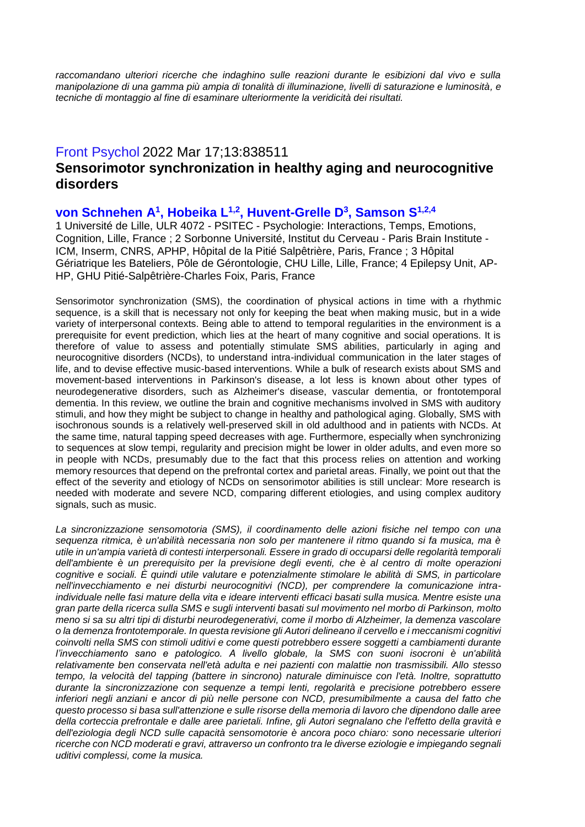*raccomandano ulteriori ricerche che indaghino sulle reazioni durante le esibizioni dal vivo e sulla manipolazione di una gamma più ampia di tonalità di illuminazione, livelli di saturazione e luminosità, e tecniche di montaggio al fine di esaminare ulteriormente la veridicità dei risultati.*

# Front Psychol 2022 Mar 17;13:838511

## **Sensorimotor synchronization in healthy aging and neurocognitive disorders**

## von Schnehen A<sup>1</sup>, Hobeika L<sup>1,2</sup>, Huvent-Grelle D<sup>3</sup>, Samson S<sup>1,2,4</sup>

1 Université de Lille, ULR 4072 - PSITEC - Psychologie: Interactions, Temps, Emotions, Cognition, Lille, France ; 2 Sorbonne Université, Institut du Cerveau - Paris Brain Institute - ICM, Inserm, CNRS, APHP, Hôpital de la Pitié Salpêtrière, Paris, France ; 3 Hôpital Gériatrique les Bateliers, Pôle de Gérontologie, CHU Lille, Lille, France; 4 Epilepsy Unit, AP-HP, GHU Pitié-Salpêtrière-Charles Foix, Paris, France

Sensorimotor synchronization (SMS), the coordination of physical actions in time with a rhythmic sequence, is a skill that is necessary not only for keeping the beat when making music, but in a wide variety of interpersonal contexts. Being able to attend to temporal regularities in the environment is a prerequisite for event prediction, which lies at the heart of many cognitive and social operations. It is therefore of value to assess and potentially stimulate SMS abilities, particularly in aging and neurocognitive disorders (NCDs), to understand intra-individual communication in the later stages of life, and to devise effective music-based interventions. While a bulk of research exists about SMS and movement-based interventions in Parkinson's disease, a lot less is known about other types of neurodegenerative disorders, such as Alzheimer's disease, vascular dementia, or frontotemporal dementia. In this review, we outline the brain and cognitive mechanisms involved in SMS with auditory stimuli, and how they might be subject to change in healthy and pathological aging. Globally, SMS with isochronous sounds is a relatively well-preserved skill in old adulthood and in patients with NCDs. At the same time, natural tapping speed decreases with age. Furthermore, especially when synchronizing to sequences at slow tempi, regularity and precision might be lower in older adults, and even more so in people with NCDs, presumably due to the fact that this process relies on attention and working memory resources that depend on the prefrontal cortex and parietal areas. Finally, we point out that the effect of the severity and etiology of NCDs on sensorimotor abilities is still unclear: More research is needed with moderate and severe NCD, comparing different etiologies, and using complex auditory signals, such as music.

*La sincronizzazione sensomotoria (SMS), il coordinamento delle azioni fisiche nel tempo con una sequenza ritmica, è un'abilità necessaria non solo per mantenere il ritmo quando si fa musica, ma è utile in un'ampia varietà di contesti interpersonali. Essere in grado di occuparsi delle regolarità temporali dell'ambiente è un prerequisito per la previsione degli eventi, che è al centro di molte operazioni cognitive e sociali. È quindi utile valutare e potenzialmente stimolare le abilità di SMS, in particolare nell'invecchiamento e nei disturbi neurocognitivi (NCD), per comprendere la comunicazione intraindividuale nelle fasi mature della vita e ideare interventi efficaci basati sulla musica. Mentre esiste una gran parte della ricerca sulla SMS e sugli interventi basati sul movimento nel morbo di Parkinson, molto meno si sa su altri tipi di disturbi neurodegenerativi, come il morbo di Alzheimer, la demenza vascolare o la demenza frontotemporale. In questa revisione gli Autori delineano il cervello e i meccanismi cognitivi coinvolti nella SMS con stimoli uditivi e come questi potrebbero essere soggetti a cambiamenti durante l'invecchiamento sano e patologico. A livello globale, la SMS con suoni isocroni è un'abilità relativamente ben conservata nell'età adulta e nei pazienti con malattie non trasmissibili. Allo stesso tempo, la velocità del tapping (battere in sincrono) naturale diminuisce con l'età. Inoltre, soprattutto durante la sincronizzazione con sequenze a tempi lenti, regolarità e precisione potrebbero essere inferiori negli anziani e ancor di più nelle persone con NCD, presumibilmente a causa del fatto che questo processo si basa sull'attenzione e sulle risorse della memoria di lavoro che dipendono dalle aree della corteccia prefrontale e dalle aree parietali. Infine, gli Autori segnalano che l'effetto della gravità e dell'eziologia degli NCD sulle capacità sensomotorie è ancora poco chiaro: sono necessarie ulteriori ricerche con NCD moderati e gravi, attraverso un confronto tra le diverse eziologie e impiegando segnali uditivi complessi, come la musica.*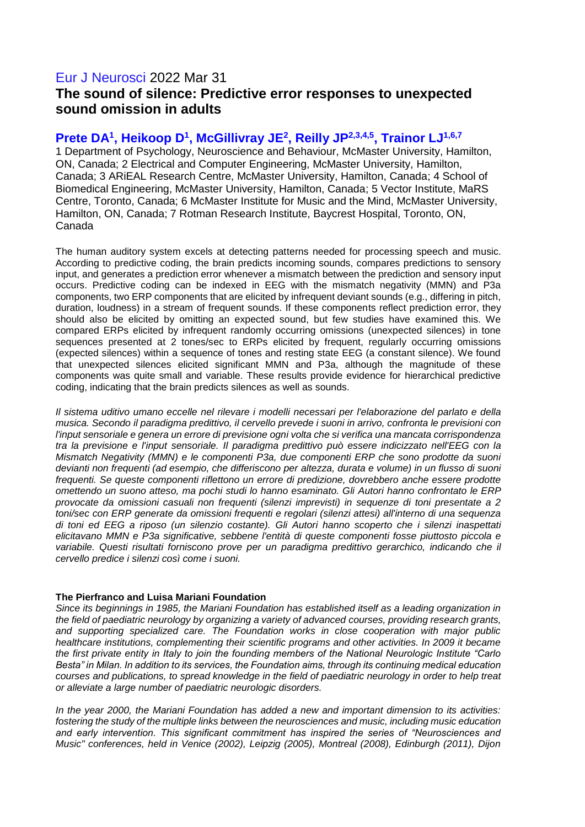## Eur J Neurosci 2022 Mar 31 **The sound of silence: Predictive error responses to unexpected sound omission in adults**

## **Prete DA<sup>1</sup> , Heikoop D<sup>1</sup> , McGillivray JE<sup>2</sup> , Reilly JP2,3,4,5, Trainor LJ1,6,7**

1 Department of Psychology, Neuroscience and Behaviour, McMaster University, Hamilton, ON, Canada; 2 Electrical and Computer Engineering, McMaster University, Hamilton, Canada; 3 ARiEAL Research Centre, McMaster University, Hamilton, Canada; 4 School of Biomedical Engineering, McMaster University, Hamilton, Canada; 5 Vector Institute, MaRS Centre, Toronto, Canada; 6 McMaster Institute for Music and the Mind, McMaster University, Hamilton, ON, Canada; 7 Rotman Research Institute, Baycrest Hospital, Toronto, ON, Canada

The human auditory system excels at detecting patterns needed for processing speech and music. According to predictive coding, the brain predicts incoming sounds, compares predictions to sensory input, and generates a prediction error whenever a mismatch between the prediction and sensory input occurs. Predictive coding can be indexed in EEG with the mismatch negativity (MMN) and P3a components, two ERP components that are elicited by infrequent deviant sounds (e.g., differing in pitch, duration, loudness) in a stream of frequent sounds. If these components reflect prediction error, they should also be elicited by omitting an expected sound, but few studies have examined this. We compared ERPs elicited by infrequent randomly occurring omissions (unexpected silences) in tone sequences presented at 2 tones/sec to ERPs elicited by frequent, regularly occurring omissions (expected silences) within a sequence of tones and resting state EEG (a constant silence). We found that unexpected silences elicited significant MMN and P3a, although the magnitude of these components was quite small and variable. These results provide evidence for hierarchical predictive coding, indicating that the brain predicts silences as well as sounds.

*Il sistema uditivo umano eccelle nel rilevare i modelli necessari per l'elaborazione del parlato e della musica. Secondo il paradigma predittivo, il cervello prevede i suoni in arrivo, confronta le previsioni con l'input sensoriale e genera un errore di previsione ogni volta che si verifica una mancata corrispondenza tra la previsione e l'input sensoriale. Il paradigma predittivo può essere indicizzato nell'EEG con la Mismatch Negativity (MMN) e le componenti P3a, due componenti ERP che sono prodotte da suoni devianti non frequenti (ad esempio, che differiscono per altezza, durata e volume) in un flusso di suoni frequenti. Se queste componenti riflettono un errore di predizione, dovrebbero anche essere prodotte omettendo un suono atteso, ma pochi studi lo hanno esaminato. Gli Autori hanno confrontato le ERP provocate da omissioni casuali non frequenti (silenzi imprevisti) in sequenze di toni presentate a 2 toni/sec con ERP generate da omissioni frequenti e regolari (silenzi attesi) all'interno di una sequenza di toni ed EEG a riposo (un silenzio costante). Gli Autori hanno scoperto che i silenzi inaspettati elicitavano MMN e P3a significative, sebbene l'entità di queste componenti fosse piuttosto piccola e variabile. Questi risultati forniscono prove per un paradigma predittivo gerarchico, indicando che il cervello predice i silenzi così come i suoni.*

#### **The Pierfranco and Luisa Mariani Foundation**

*Since its beginnings in 1985, the Mariani Foundation has established itself as a leading organization in the field of paediatric neurology by organizing a variety of advanced courses, providing research grants, and supporting specialized care. The Foundation works in close cooperation with major public healthcare institutions, complementing their scientific programs and other activities. In 2009 it became the first private entity in Italy to join the founding members of the National Neurologic Institute "Carlo Besta" in Milan. In addition to its services, the Foundation aims, through its continuing medical education courses and publications, to spread knowledge in the field of paediatric neurology in order to help treat or alleviate a large number of paediatric neurologic disorders.*

*In the year 2000, the Mariani Foundation has added a new and important dimension to its activities: fostering the study of the multiple links between the neurosciences and music, including music education and early intervention. This significant commitment has inspired the series of "Neurosciences and Music" conferences, held in Venice (2002), Leipzig (2005), Montreal (2008), Edinburgh (2011), Dijon*